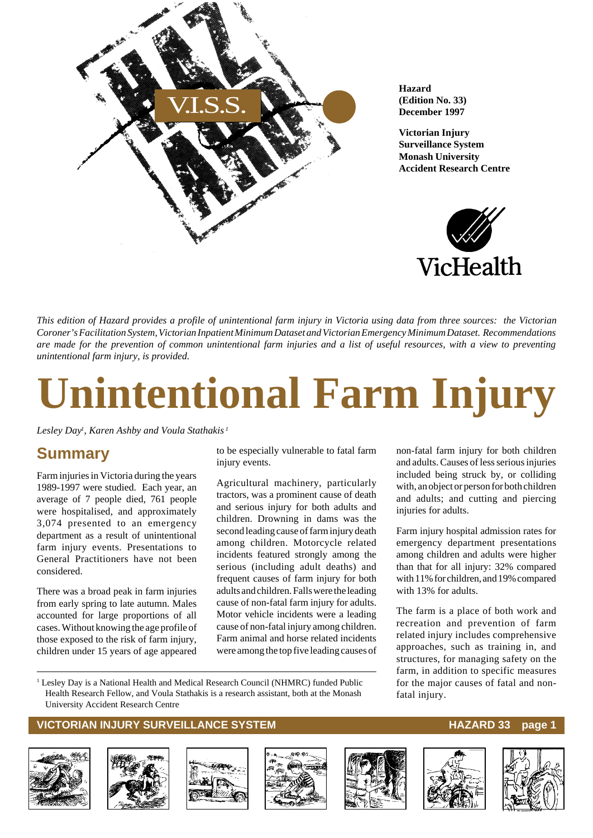

**Hazard (Edition No. 33) December 1997**

**Victorian Injury Surveillance System Monash University Accident Research Centre**



non-fatal farm injury for both children and adults. Causes of less serious injuries included being struck by, or colliding with, an object or person for both children and adults; and cutting and piercing

Farm injury hospital admission rates for emergency department presentations among children and adults were higher than that for all injury: 32% compared with 11% for children, and 19% compared

The farm is a place of both work and recreation and prevention of farm related injury includes comprehensive approaches, such as training in, and structures, for managing safety on the farm, in addition to specific measures for the major causes of fatal and non-

injuries for adults.

with 13% for adults.

fatal injury.

*This edition of Hazard provides a profile of unintentional farm injury in Victoria using data from three sources: the Victorian Coroner's Facilitation System, Victorian Inpatient Minimum Dataset and Victorian Emergency Minimum Dataset. Recommendations are made for the prevention of common unintentional farm injuries and a list of useful resources, with a view to preventing unintentional farm injury, is provided.*

# **Unintentional Farm Injury**

*Lesley Day1 , Karen Ashby and Voula Stathakis <sup>1</sup>*

### **Summary**

Farm injuries in Victoria during the years 1989-1997 were studied. Each year, an average of 7 people died, 761 people were hospitalised, and approximately 3,074 presented to an emergency department as a result of unintentional farm injury events. Presentations to General Practitioners have not been considered.

There was a broad peak in farm injuries from early spring to late autumn. Males accounted for large proportions of all cases. Without knowing the age profile of those exposed to the risk of farm injury, children under 15 years of age appeared

to be especially vulnerable to fatal farm injury events.

Agricultural machinery, particularly tractors, was a prominent cause of death and serious injury for both adults and children. Drowning in dams was the second leading cause of farm injury death among children. Motorcycle related incidents featured strongly among the serious (including adult deaths) and frequent causes of farm injury for both adults and children. Falls were the leading cause of non-fatal farm injury for adults. Motor vehicle incidents were a leading cause of non-fatal injury among children. Farm animal and horse related incidents were among the top five leading causes of

<sup>1</sup> Lesley Day is a National Health and Medical Research Council (NHMRC) funded Public Health Research Fellow, and Voula Stathakis is a research assistant, both at the Monash University Accident Research Centre

#### **VICTORIAN INJURY SURVEILLANCE SYSTEM** And the state of the HAZARD 33 page 1













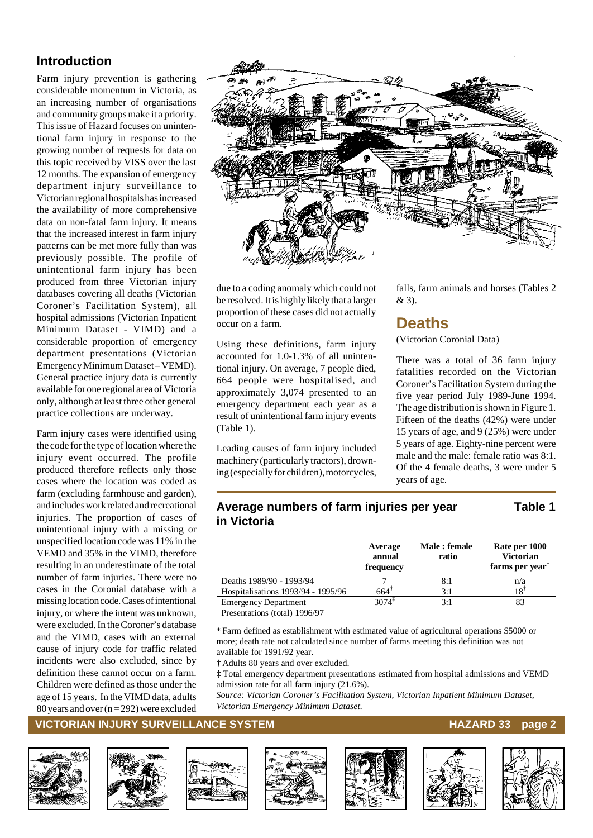### **Introduction**

Farm injury prevention is gathering considerable momentum in Victoria, as an increasing number of organisations and community groups make it a priority. This issue of Hazard focuses on unintentional farm injury in response to the growing number of requests for data on this topic received by VISS over the last 12 months. The expansion of emergency department injury surveillance to Victorian regional hospitals has increased the availability of more comprehensive data on non-fatal farm injury. It means that the increased interest in farm injury patterns can be met more fully than was previously possible. The profile of unintentional farm injury has been produced from three Victorian injury databases covering all deaths (Victorian Coroner's Facilitation System), all hospital admissions (Victorian Inpatient Minimum Dataset - VIMD) and a considerable proportion of emergency department presentations (Victorian Emergency Minimum Dataset – VEMD). General practice injury data is currently available for one regional area of Victoria only, although at least three other general practice collections are underway.

Farm injury cases were identified using the code for the type of location where the injury event occurred. The profile produced therefore reflects only those cases where the location was coded as farm (excluding farmhouse and garden), and includes work related and recreational injuries. The proportion of cases of unintentional injury with a missing or unspecified location code was 11% in the VEMD and 35% in the VIMD, therefore resulting in an underestimate of the total number of farm injuries. There were no cases in the Coronial database with a missing location code. Cases of intentional injury, or where the intent was unknown, were excluded. In the Coroner's database and the VIMD, cases with an external cause of injury code for traffic related incidents were also excluded, since by definition these cannot occur on a farm. Children were defined as those under the age of 15 years. In the VIMD data, adults 80 years and over  $(n = 292)$  were excluded



due to a coding anomaly which could not be resolved. It is highly likely that a larger proportion of these cases did not actually occur on a farm.

Using these definitions, farm injury accounted for 1.0-1.3% of all unintentional injury. On average, 7 people died, 664 people were hospitalised, and approximately 3,074 presented to an emergency department each year as a result of unintentional farm injury events (Table 1).

Leading causes of farm injury included machinery (particularly tractors), drowning (especially for children), motorcycles, falls, farm animals and horses (Tables 2 & 3).

### **Deaths**

#### (Victorian Coronial Data)

There was a total of 36 farm injury fatalities recorded on the Victorian Coroner's Facilitation System during the five year period July 1989-June 1994. The age distribution is shown in Figure 1. Fifteen of the deaths (42%) were under 15 years of age, and 9 (25%) were under 5 years of age. Eighty-nine percent were male and the male: female ratio was 8:1. Of the 4 female deaths, 3 were under 5 years of age.

#### **Average numbers of farm injuries per year Table 1 in Victoria**

|                                    | Average<br>annual<br>frequency | Male : female<br>ratio | Rate per 1000<br><b>Victorian</b><br>farms per year <sup>*</sup> |
|------------------------------------|--------------------------------|------------------------|------------------------------------------------------------------|
| Deaths 1989/90 - 1993/94           |                                | 8:1                    | n/a                                                              |
| Hospitalisations 1993/94 - 1995/96 | 664                            | 3:1                    | 18                                                               |
| <b>Emergency Department</b>        | $3074^{\frac{1}{4}}$           | 3:1                    | 83                                                               |
| Presentations (total) 1996/97      |                                |                        |                                                                  |

\* Farm defined as establishment with estimated value of agricultural operations \$5000 or more; death rate not calculated since number of farms meeting this definition was not available for 1991/92 year.

† Adults 80 years and over excluded.

‡ Total emergency department presentations estimated from hospital admissions and VEMD admission rate for all farm injury (21.6%).

*Source: Victorian Coroner's Facilitation System, Victorian Inpatient Minimum Dataset, Victorian Emergency Minimum Dataset.*

#### **VICTORIAN INJURY SURVEILLANCE SYSTEM HAZARD 33** page 2













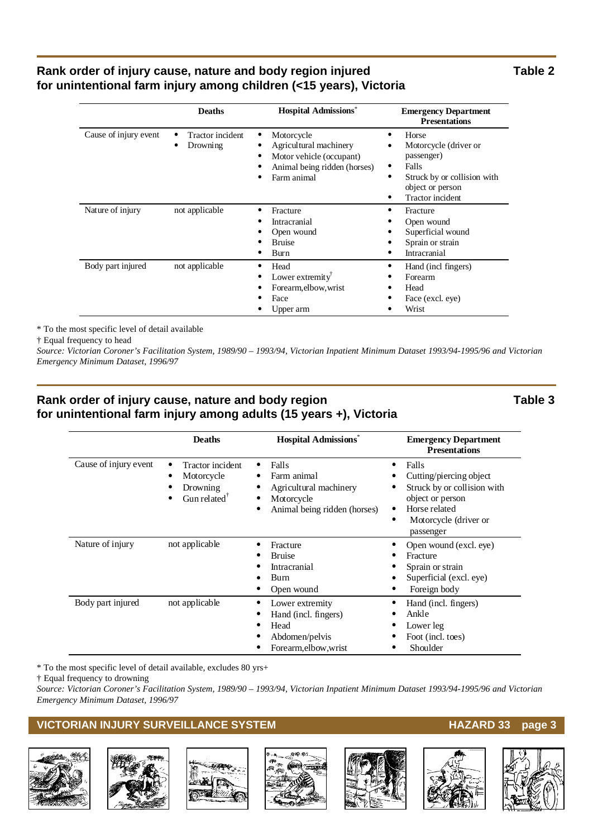#### Rank order of injury cause, nature and body region injured Table 2 **for unintentional farm injury among children (<15 years), Victoria**

|                       | <b>Deaths</b>                | <b>Hospital Admissions*</b>                                                                                     | <b>Emergency Department</b><br><b>Presentations</b>                                                                                              |
|-----------------------|------------------------------|-----------------------------------------------------------------------------------------------------------------|--------------------------------------------------------------------------------------------------------------------------------------------------|
| Cause of injury event | Tractor incident<br>Drowning | Motorcycle<br>Agricultural machinery<br>Motor vehicle (occupant)<br>Animal being ridden (horses)<br>Farm animal | Horse<br>٠<br>Motorcycle (driver or<br>passenger)<br>Falls<br>٠<br>Struck by or collision with<br>٠<br>object or person<br>Tractor incident<br>٠ |
| Nature of injury      | not applicable               | Fracture<br><b>Intracranial</b><br>Open wound<br><b>Bruise</b><br>Burn                                          | Fracture<br>٠<br>Open wound<br>Superficial wound<br>Sprain or strain<br>Intracranial                                                             |
| Body part injured     | not applicable               | Head<br>Lower extremity<br>Forearm, elbow, wrist<br>Face<br>Upper arm                                           | Hand (incl fingers)<br>٠<br>Forearm<br>Head<br>٠<br>Face (excl. eye)<br>Wrist<br>٠                                                               |

\* To the most specific level of detail available

† Equal frequency to head

*Source: Victorian Coroner's Facilitation System, 1989/90 – 1993/94, Victorian Inpatient Minimum Dataset 1993/94-1995/96 and Victorian Emergency Minimum Dataset, 1996/97*

#### Rank order of injury cause, nature and body region Table 3 **for unintentional farm injury among adults (15 years +), Victoria**

|                       | <b>Deaths</b>                                                                             | <b>Hospital Admissions*</b>                                                                  | <b>Emergency Department</b><br><b>Presentations</b>                                                                                                       |
|-----------------------|-------------------------------------------------------------------------------------------|----------------------------------------------------------------------------------------------|-----------------------------------------------------------------------------------------------------------------------------------------------------------|
| Cause of injury event | Tractor incident<br>Motorcycle<br>Drowning<br>Gun related <sup><math>\bar{ }</math></sup> | Falls<br>Farm animal<br>Agricultural machinery<br>Motorcycle<br>Animal being ridden (horses) | Falls<br>٠<br>Cutting/piercing object<br>Struck by or collision with<br>object or person<br>Horse related<br>٠<br>Motorcycle (driver or<br>٠<br>passenger |
| Nature of injury      | not applicable                                                                            | Fracture<br><b>Bruise</b><br>Intracranial<br>Burn<br>Open wound                              | Open wound (excl. eye)<br>٠<br>Fracture<br>Sprain or strain<br>Superficial (excl. eye)<br>Foreign body<br>٠                                               |
| Body part injured     | not applicable                                                                            | Lower extremity<br>Hand (incl. fingers)<br>Head<br>Abdomen/pelvis<br>Forearm, elbow, wrist   | Hand (incl. fingers)<br>٠<br>Ankle<br>Lower leg<br>Foot (incl. toes)<br>Shoulder                                                                          |

\* To the most specific level of detail available, excludes 80 yrs+

† Equal frequency to drowning

*Source: Victorian Coroner's Facilitation System, 1989/90 – 1993/94, Victorian Inpatient Minimum Dataset 1993/94-1995/96 and Victorian Emergency Minimum Dataset, 1996/97*

#### **VICTORIAN INJURY SURVEILLANCE SYSTEM** And the state of the HAZARD 33 page 3













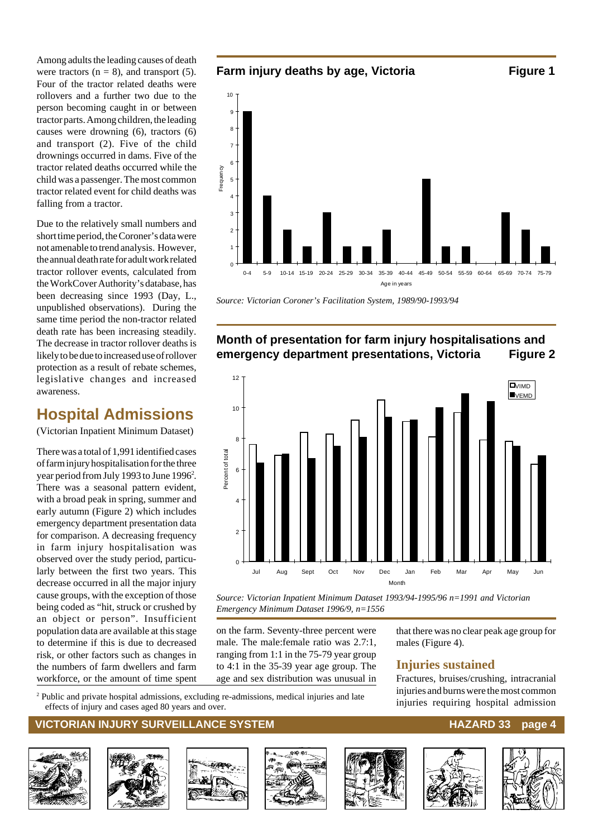Among adults the leading causes of death were tractors  $(n = 8)$ , and transport  $(5)$ . Four of the tractor related deaths were rollovers and a further two due to the person becoming caught in or between tractor parts. Among children, the leading causes were drowning (6), tractors (6) and transport (2). Five of the child drownings occurred in dams. Five of the tractor related deaths occurred while the child was a passenger. The most common tractor related event for child deaths was falling from a tractor.

Due to the relatively small numbers and short time period, the Coroner's data were not amenable to trend analysis. However, the annual death rate for adult work related tractor rollover events, calculated from the WorkCover Authority's database, has been decreasing since 1993 (Day, L., unpublished observations). During the same time period the non-tractor related death rate has been increasing steadily. The decrease in tractor rollover deaths is likely to be due to increased use of rollover protection as a result of rebate schemes, legislative changes and increased awareness.

### **Hospital Admissions**

(Victorian Inpatient Minimum Dataset)

There was a total of 1,991 identified cases of farm injury hospitalisation for the three year period from July 1993 to June 1996<sup>2</sup>. There was a seasonal pattern evident, with a broad peak in spring, summer and early autumn (Figure 2) which includes emergency department presentation data for comparison. A decreasing frequency in farm injury hospitalisation was observed over the study period, particularly between the first two years. This decrease occurred in all the major injury cause groups, with the exception of those being coded as "hit, struck or crushed by an object or person". Insufficient population data are available at this stage to determine if this is due to decreased risk, or other factors such as changes in the numbers of farm dwellers and farm workforce, or the amount of time spent



*Source: Victorian Coroner's Facilitation System, 1989/90-1993/94*

#### **Month of presentation for farm injury hospitalisations and emergency department presentations, Victoria Figure 2**



*Source: Victorian Inpatient Minimum Dataset 1993/94-1995/96 n=1991 and Victorian Emergency Minimum Dataset 1996/9, n=1556*

on the farm. Seventy-three percent were male. The male:female ratio was 2.7:1, ranging from 1:1 in the 75-79 year group to 4:1 in the 35-39 year age group. The age and sex distribution was unusual in

Public and private hospital admissions, excluding re-admissions, medical injuries and late injuries and over injuries requiring hospital admission effects of injury and cases aged 80 years and over.

#### **VICTORIAN INJURY SURVEILLANCE SYSTEM AND RESERVE THE RESERVE HAZARD 33 page 4**















that there was no clear peak age group for

Fractures, bruises/crushing, intracranial injuries and burns were the most common

males (Figure 4).

**Injuries sustained**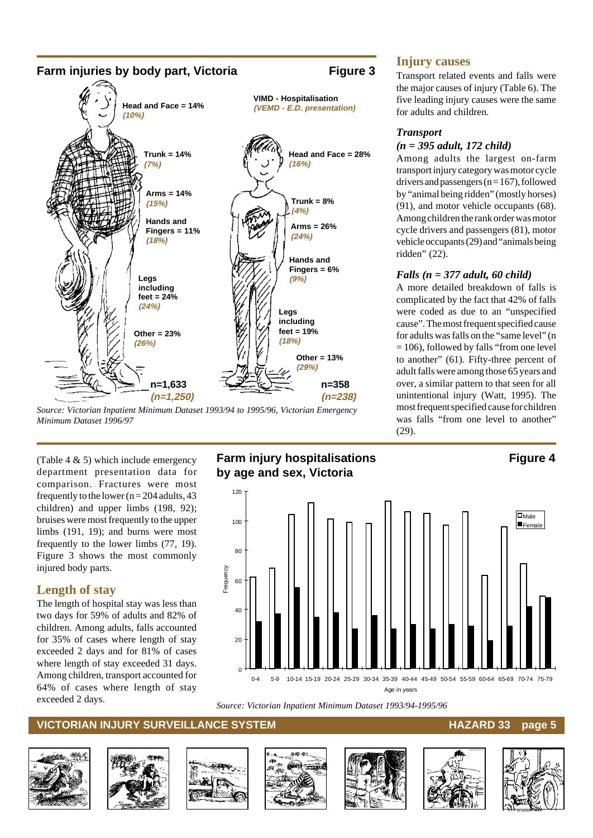

*Source: Victorian Inpatient Minimum Dataset 1993/94 to 1995/96, Victorian Emergency Minimum Dataset 1996/97*

(Table 4 & 5) which include emergency department presentation data for comparison. Fractures were most frequently to the lower ( $n = 204$  adults, 43 children) and upper limbs (198, 92); bruises were most frequently to the upper limbs (191, 19); and burns were most frequently to the lower limbs (77, 19). Figure 3 shows the most commonly injured body parts.

#### **Length of stay**

The length of hospital stay was less than two days for 59% of adults and 82% of children. Among adults, falls accounted for 35% of cases where length of stay exceeded 2 days and for 81% of cases where length of stay exceeded 31 days. Among children, transport accounted for 64% of cases where length of stay exceeded 2 days.

### **Farm injury hospitalisations** Figure 4 **by age and sex, Victoria**



*Source: Victorian Inpatient Minimum Dataset 1993/94-1995/96*

#### **VICTORIAN INJURY SURVEILLANCE SYSTEM AND REALLY CONTROLLY CONTROLLY AND REALLY SURVEILLANCE SYSTEM**















#### **Injury causes**

Transport related events and falls were the major causes of injury (Table 6). The five leading injury causes were the same for adults and children.

#### *Transport*

#### *(n = 395 adult, 172 child)*

Among adults the largest on-farm transport injury category was motor cycle drivers and passengers ( $n = 167$ ), followed by "animal being ridden" (mostly horses) (91), and motor vehicle occupants (68). Among children the rank order was motor cycle drivers and passengers (81), motor vehicle occupants (29) and "animals being ridden" (22).

#### *Falls (n = 377 adult, 60 child)*

A more detailed breakdown of falls is complicated by the fact that 42% of falls were coded as due to an "unspecified cause". The most frequent specified cause for adults was falls on the "same level" (n = 106), followed by falls "from one level to another" (61). Fifty-three percent of adult falls were among those 65 years and over, a similar pattern to that seen for all unintentional injury (Watt, 1995). The most frequent specified cause for children was falls "from one level to another" (29).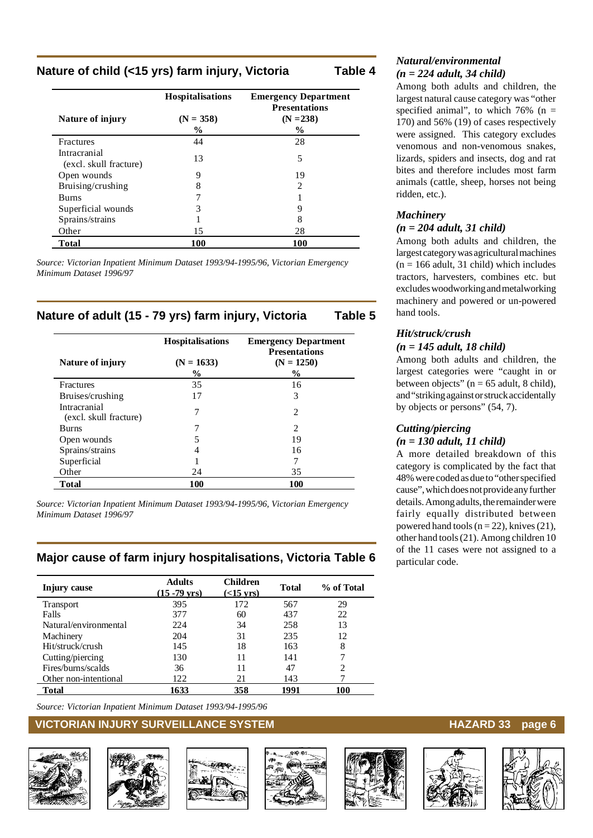#### **Nature of child (<15 yrs) farm injury, Victoria Table 4**

|                                        | <b>Hospitalisations</b> | <b>Emergency Department</b><br><b>Presentations</b> |
|----------------------------------------|-------------------------|-----------------------------------------------------|
| Nature of injury                       | $(N = 358)$             | $(N = 238)$                                         |
|                                        | $\frac{6}{9}$           | $\%$                                                |
| <b>Fractures</b>                       | 44                      | 28                                                  |
| Intracranial<br>(excl. skull fracture) | 13                      | 5                                                   |
| Open wounds                            | 9                       | 19                                                  |
| Bruising/crushing                      | 8                       | 2                                                   |
| <b>Burns</b>                           |                         |                                                     |
| Superficial wounds                     | 3                       | 9                                                   |
| Sprains/strains                        |                         | 8                                                   |
| Other                                  | 15                      | 28                                                  |
| Total                                  | 100                     | <b>100</b>                                          |

*Source: Victorian Inpatient Minimum Dataset 1993/94-1995/96, Victorian Emergency Minimum Dataset 1996/97*

#### **Nature of adult (15 - 79 yrs) farm injury, Victoria Table 5**

|                                        | <b>Hospitalisations</b> | <b>Emergency Department</b><br><b>Presentations</b> |
|----------------------------------------|-------------------------|-----------------------------------------------------|
| Nature of injury                       | $(N = 1633)$            | $(N = 1250)$                                        |
|                                        | $\%$                    | $\%$                                                |
| <b>Fractures</b>                       | 35                      | 16                                                  |
| Bruises/crushing                       | 17                      | 3                                                   |
| Intracranial<br>(excl. skull fracture) | 7                       | 2                                                   |
| <b>Burns</b>                           |                         | 2                                                   |
| Open wounds                            |                         | 19                                                  |
| Sprains/strains                        |                         | 16                                                  |
| Superficial                            |                         | 7                                                   |
| Other                                  | 24                      | 35                                                  |
| <b>Total</b>                           | 100                     | 100                                                 |

*Source: Victorian Inpatient Minimum Dataset 1993/94-1995/96, Victorian Emergency Minimum Dataset 1996/97*

#### **Major cause of farm injury hospitalisations, Victoria Table 6**

| Injury cause          | <b>Adults</b><br>$(15 - 79 \text{ yrs})$ | <b>Children</b><br>$(<15$ yrs) | Total | % of Total |
|-----------------------|------------------------------------------|--------------------------------|-------|------------|
| <b>Transport</b>      | 395                                      | 172                            | 567   | 29         |
| Falls                 | 377                                      | 60                             | 437   | 22         |
| Natural/environmental | 224                                      | 34                             | 258   | 13         |
| Machinery             | 204                                      | 31                             | 235   | 12         |
| Hit/struck/crush      | 145                                      | 18                             | 163   | 8          |
| Cutting/piercing      | 130                                      | 11                             | 141   |            |
| Fires/burns/scalds    | 36                                       |                                | 47    | 2          |
| Other non-intentional | 122                                      | 21                             | 143   |            |
| Total                 | 1633                                     | 358                            | 1991  | 100        |

*Source: Victorian Inpatient Minimum Dataset 1993/94-1995/96*

#### **VICTORIAN INJURY SURVEILLANCE SYSTEM** And the state of the HAZARD 33 page 6













#### *Natural/environmental (n = 224 adult, 34 child)*

Among both adults and children, the largest natural cause category was "other specified animal", to which  $76\%$  (n = 170) and 56% (19) of cases respectively were assigned. This category excludes venomous and non-venomous snakes, lizards, spiders and insects, dog and rat bites and therefore includes most farm animals (cattle, sheep, horses not being ridden, etc.).

### *Machinery*

#### *(n = 204 adult, 31 child)*

Among both adults and children, the largest category was agricultural machines  $(n = 166$  adult, 31 child) which includes tractors, harvesters, combines etc. but excludes woodworking and metalworking machinery and powered or un-powered hand tools.

#### *Hit/struck/crush (n = 145 adult, 18 child)*

Among both adults and children, the largest categories were "caught in or between objects" ( $n = 65$  adult, 8 child), and "striking against or struck accidentally by objects or persons" (54, 7).

#### *Cutting/piercing (n = 130 adult, 11 child)*

A more detailed breakdown of this category is complicated by the fact that 48% were coded as due to "other specified cause", which does not provide any further details. Among adults, the remainder were fairly equally distributed between powered hand tools  $(n = 22)$ , knives  $(21)$ , other hand tools (21). Among children 10 of the 11 cases were not assigned to a particular code.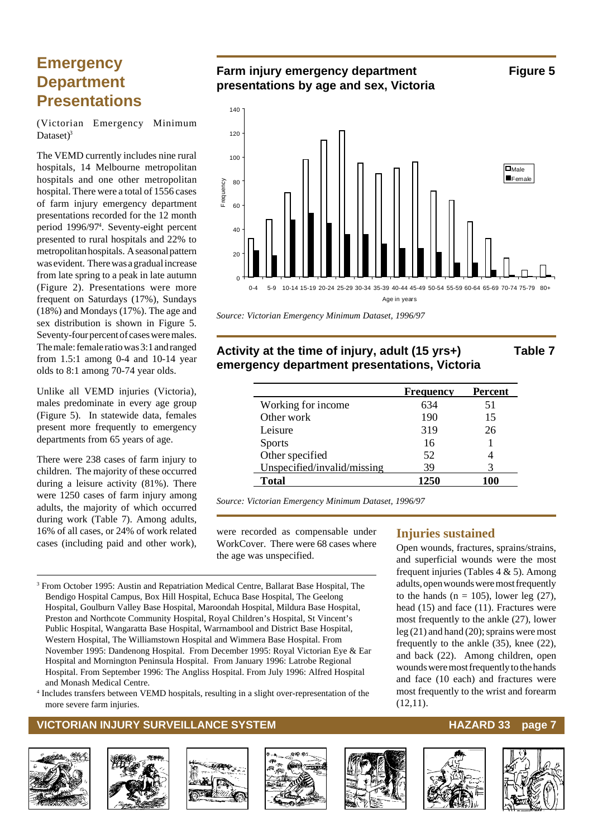### **Emergency Department Presentations**

(Victorian Emergency Minimum Dataset $)^3$ 

The VEMD currently includes nine rural hospitals, 14 Melbourne metropolitan hospitals and one other metropolitan hospital. There were a total of 1556 cases of farm injury emergency department presentations recorded for the 12 month period 1996/974 . Seventy-eight percent presented to rural hospitals and 22% to metropolitan hospitals. A seasonal pattern was evident. There was a gradual increase from late spring to a peak in late autumn (Figure 2). Presentations were more frequent on Saturdays (17%), Sundays (18%) and Mondays (17%). The age and sex distribution is shown in Figure 5. Seventy-four percent of cases were males. The male: female ratio was 3:1 and ranged from 1.5:1 among 0-4 and 10-14 year olds to 8:1 among 70-74 year olds.

Unlike all VEMD injuries (Victoria), males predominate in every age group (Figure 5). In statewide data, females present more frequently to emergency departments from 65 years of age.

There were 238 cases of farm injury to children. The majority of these occurred during a leisure activity (81%). There were 1250 cases of farm injury among adults, the majority of which occurred during work (Table 7). Among adults, 16% of all cases, or 24% of work related cases (including paid and other work),

#### **Farm injury emergency department Figure 5 presentations by age and sex, Victoria**



*Source: Victorian Emergency Minimum Dataset, 1996/97*

#### **Activity at the time of injury, adult (15 yrs+) Table 7 emergency department presentations, Victoria**

|                             | <b>Frequency</b> | Percent |
|-----------------------------|------------------|---------|
| Working for income          | 634              | 51      |
| Other work                  | 190              | 15      |
| Leisure                     | 319              | 26      |
| <b>Sports</b>               | 16               |         |
| Other specified             | 52               |         |
| Unspecified/invalid/missing | 39               |         |
| <b>Total</b>                | 1250             | 100     |

*Source: Victorian Emergency Minimum Dataset, 1996/97*

were recorded as compensable under WorkCover. There were 68 cases where the age was unspecified.

3 From October 1995: Austin and Repatriation Medical Centre, Ballarat Base Hospital, The Bendigo Hospital Campus, Box Hill Hospital, Echuca Base Hospital, The Geelong Hospital, Goulburn Valley Base Hospital, Maroondah Hospital, Mildura Base Hospital, Preston and Northcote Community Hospital, Royal Children's Hospital, St Vincent's Public Hospital, Wangaratta Base Hospital, Warrnambool and District Base Hospital, Western Hospital, The Williamstown Hospital and Wimmera Base Hospital. From November 1995: Dandenong Hospital. From December 1995: Royal Victorian Eye & Ear Hospital and Mornington Peninsula Hospital. From January 1996: Latrobe Regional Hospital. From September 1996: The Angliss Hospital. From July 1996: Alfred Hospital and Monash Medical Centre.

4 Includes transfers between VEMD hospitals, resulting in a slight over-representation of the more severe farm injuries.

#### **VICTORIAN INJURY SURVEILLANCE SYSTEM AND READ READ READ TO HAZARD 33 page 7**













#### **Injuries sustained**

Open wounds, fractures, sprains/strains, and superficial wounds were the most frequent injuries (Tables 4 & 5). Among adults, open wounds were most frequently to the hands  $(n = 105)$ , lower leg  $(27)$ , head (15) and face (11). Fractures were most frequently to the ankle (27), lower leg (21) and hand (20); sprains were most frequently to the ankle (35), knee (22), and back (22). Among children, open wounds were most frequently to the hands and face (10 each) and fractures were most frequently to the wrist and forearm (12,11).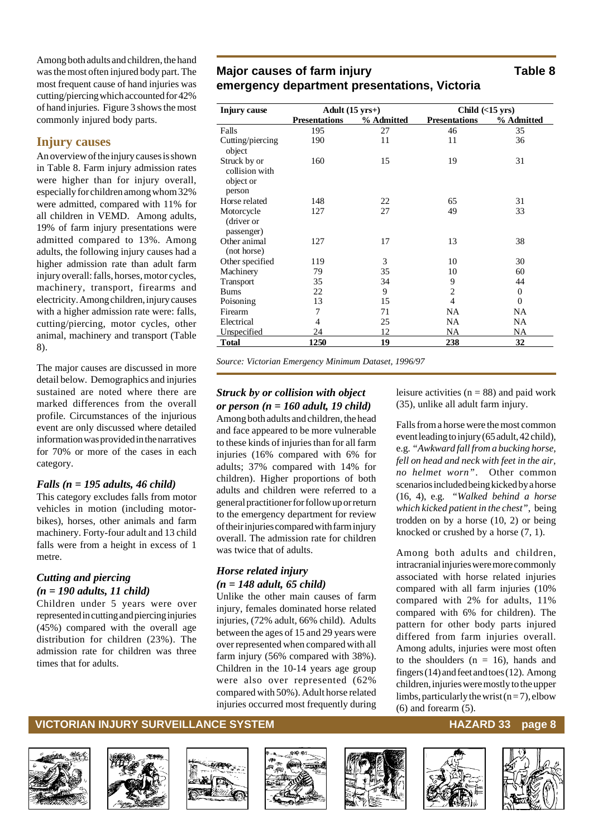Among both adults and children, the hand was the most often injured body part. The most frequent cause of hand injuries was cutting/piercing which accounted for 42% of hand injuries. Figure 3 shows the most commonly injured body parts.

#### **Injury causes**

An overview of the injury causes is shown in Table 8. Farm injury admission rates were higher than for injury overall, especially for children among whom 32% were admitted, compared with 11% for all children in VEMD. Among adults, 19% of farm injury presentations were admitted compared to 13%. Among adults, the following injury causes had a higher admission rate than adult farm injury overall: falls, horses, motor cycles, machinery, transport, firearms and electricity. Among children, injury causes with a higher admission rate were: falls, cutting/piercing, motor cycles, other animal, machinery and transport (Table 8).

The major causes are discussed in more detail below. Demographics and injuries sustained are noted where there are marked differences from the overall profile. Circumstances of the injurious event are only discussed where detailed information was provided in the narratives for 70% or more of the cases in each category.

#### *Falls (n = 195 adults, 46 child)*

This category excludes falls from motor vehicles in motion (including motorbikes), horses, other animals and farm machinery. Forty-four adult and 13 child falls were from a height in excess of 1 metre.

#### *Cutting and piercing (n = 190 adults, 11 child)*

Children under 5 years were over represented in cutting and piercing injuries (45%) compared with the overall age distribution for children (23%). The admission rate for children was three times that for adults.

### **Major causes of farm injury Table 8 emergency department presentations, Victoria**

| <b>Injury cause</b>                                   | Adult $(15 \text{ yrs+})$ |            | Child $(\leq15$ yrs) |              |
|-------------------------------------------------------|---------------------------|------------|----------------------|--------------|
|                                                       | <b>Presentations</b>      | % Admitted | <b>Presentations</b> | % Admitted   |
| Falls                                                 | 195                       | 27         | 46                   | 35           |
| Cutting/piercing<br>object                            | 190                       | 11         | 11                   | 36           |
| Struck by or<br>collision with<br>object or<br>person | 160                       | 15         | 19                   | 31           |
| Horse related                                         | 148                       | 22         | 65                   | 31           |
| Motorcycle<br>(driver or<br>passenger)                | 127                       | 27         | 49                   | 33           |
| Other animal<br>(not horse)                           | 127                       | 17         | 13                   | 38           |
| Other specified                                       | 119                       | 3          | 10                   | 30           |
| Machinery                                             | 79                        | 35         | 10                   | 60           |
| Transport                                             | 35                        | 34         | 9                    | 44           |
| Bums                                                  | 22                        | 9          | $\overline{2}$       | $\mathbf{0}$ |
| Poisoning                                             | 13                        | 15         | $\overline{4}$       | $\mathbf{0}$ |
| Firearm                                               | 7                         | 71         | NA                   | NA           |
| Electrical                                            | 4                         | 25         | NA                   | <b>NA</b>    |
| Unspecified                                           | 24                        | 12         | NA                   | NA           |
| Total                                                 | 1250                      | 19         | 238                  | 32           |

*Source: Victorian Emergency Minimum Dataset, 1996/97*

#### *Struck by or collision with object or person (n = 160 adult, 19 child)*

Among both adults and children, the head and face appeared to be more vulnerable to these kinds of injuries than for all farm injuries (16% compared with 6% for adults; 37% compared with 14% for children). Higher proportions of both adults and children were referred to a general practitioner for follow up or return to the emergency department for review of their injuries compared with farm injury overall. The admission rate for children was twice that of adults.

#### *Horse related injury (n = 148 adult, 65 child)*

Unlike the other main causes of farm injury, females dominated horse related injuries, (72% adult, 66% child). Adults between the ages of 15 and 29 years were over represented when compared with all farm injury (56% compared with 38%). Children in the 10-14 years age group were also over represented (62% compared with 50%). Adult horse related injuries occurred most frequently during leisure activities  $(n = 88)$  and paid work (35), unlike all adult farm injury.

Falls from a horse were the most common event leading to injury (65 adult, 42 child), e.g*. "Awkward fall from a bucking horse, fell on head and neck with feet in the air, no helmet worn"*. Other common scenarios included being kicked by a horse (16, 4), e.g. *"Walked behind a horse which kicked patient in the chest"*, being trodden on by a horse (10, 2) or being knocked or crushed by a horse (7, 1).

Among both adults and children, intracranial injuries were more commonly associated with horse related injuries compared with all farm injuries (10% compared with 2% for adults, 11% compared with 6% for children). The pattern for other body parts injured differed from farm injuries overall. Among adults, injuries were most often to the shoulders  $(n = 16)$ , hands and fingers (14) and feet and toes (12). Among children, injuries were mostly to the upper limbs, particularly the wrist  $(n=7)$ , elbow (6) and forearm (5).

#### **VICTORIAN INJURY SURVEILLANCE SYSTEM HAZARD 33** page 8











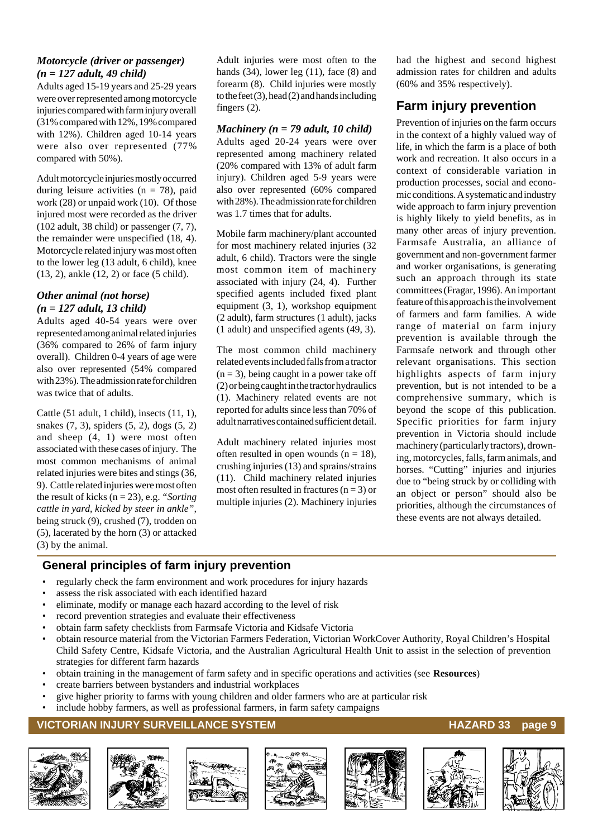#### *Motorcycle (driver or passenger) (n = 127 adult, 49 child)*

Adults aged 15-19 years and 25-29 years were over represented among motorcycle injuries compared with farm injury overall (31% compared with 12%, 19% compared with 12%). Children aged 10-14 years were also over represented (77% compared with 50%).

Adult motorcycle injuries mostly occurred during leisure activities ( $n = 78$ ), paid work (28) or unpaid work (10). Of those injured most were recorded as the driver (102 adult, 38 child) or passenger (7, 7), the remainder were unspecified (18, 4). Motorcycle related injury was most often to the lower leg (13 adult, 6 child), knee (13, 2), ankle (12, 2) or face (5 child).

#### *Other animal (not horse) (n = 127 adult, 13 child)*

Adults aged 40-54 years were over represented among animal related injuries (36% compared to 26% of farm injury overall). Children 0-4 years of age were also over represented (54% compared with 23%). The admission rate for children was twice that of adults.

Cattle (51 adult, 1 child), insects (11, 1), snakes (7, 3), spiders (5, 2), dogs (5, 2) and sheep (4, 1) were most often associated with these cases of injury. The most common mechanisms of animal related injuries were bites and stings (36, 9). Cattle related injuries were most often the result of kicks (n = 23), e.g. *"Sorting cattle in yard, kicked by steer in ankle",* being struck (9), crushed (7), trodden on (5), lacerated by the horn (3) or attacked (3) by the animal.

Adult injuries were most often to the hands  $(34)$ , lower leg  $(11)$ , face  $(8)$  and forearm (8). Child injuries were mostly to the feet  $(3)$ , head  $(2)$  and hands including fingers (2).

#### *Machinery (n = 79 adult, 10 child)*

Adults aged 20-24 years were over represented among machinery related (20% compared with 13% of adult farm injury). Children aged 5-9 years were also over represented (60% compared with 28%). The admission rate for children was 1.7 times that for adults.

Mobile farm machinery/plant accounted for most machinery related injuries (32 adult, 6 child). Tractors were the single most common item of machinery associated with injury (24, 4). Further specified agents included fixed plant equipment (3, 1), workshop equipment (2 adult), farm structures (1 adult), jacks (1 adult) and unspecified agents (49, 3).

The most common child machinery related events included falls from a tractor  $(n = 3)$ , being caught in a power take off (2) or being caught in the tractor hydraulics (1). Machinery related events are not reported for adults since less than 70% of adult narratives contained sufficient detail.

Adult machinery related injuries most often resulted in open wounds  $(n = 18)$ , crushing injuries (13) and sprains/strains (11). Child machinery related injuries most often resulted in fractures  $(n = 3)$  or multiple injuries (2). Machinery injuries had the highest and second highest admission rates for children and adults (60% and 35% respectively).

#### **Farm injury prevention**

Prevention of injuries on the farm occurs in the context of a highly valued way of life, in which the farm is a place of both work and recreation. It also occurs in a context of considerable variation in production processes, social and economic conditions. A systematic and industry wide approach to farm injury prevention is highly likely to yield benefits, as in many other areas of injury prevention. Farmsafe Australia, an alliance of government and non-government farmer and worker organisations, is generating such an approach through its state committees (Fragar, 1996). An important feature of this approach is the involvement of farmers and farm families. A wide range of material on farm injury prevention is available through the Farmsafe network and through other relevant organisations. This section highlights aspects of farm injury prevention, but is not intended to be a comprehensive summary, which is beyond the scope of this publication. Specific priorities for farm injury prevention in Victoria should include machinery (particularly tractors), drowning, motorcycles, falls, farm animals, and horses. "Cutting" injuries and injuries due to "being struck by or colliding with an object or person" should also be priorities, although the circumstances of these events are not always detailed.

#### **General principles of farm injury prevention**

- regularly check the farm environment and work procedures for injury hazards
- assess the risk associated with each identified hazard
- eliminate, modify or manage each hazard according to the level of risk
- record prevention strategies and evaluate their effectiveness
- obtain farm safety checklists from Farmsafe Victoria and Kidsafe Victoria
- obtain resource material from the Victorian Farmers Federation, Victorian WorkCover Authority, Royal Children's Hospital Child Safety Centre, Kidsafe Victoria, and the Australian Agricultural Health Unit to assist in the selection of prevention strategies for different farm hazards
- obtain training in the management of farm safety and in specific operations and activities (see **Resources**)
- create barriers between bystanders and industrial workplaces
- give higher priority to farms with young children and older farmers who are at particular risk
- include hobby farmers, as well as professional farmers, in farm safety campaigns

#### **VICTORIAN INJURY SURVEILLANCE SYSTEM AND REALLY CONTROLLY CONTROLLY AND REALLY CONTROLLY CONTROLLY A**













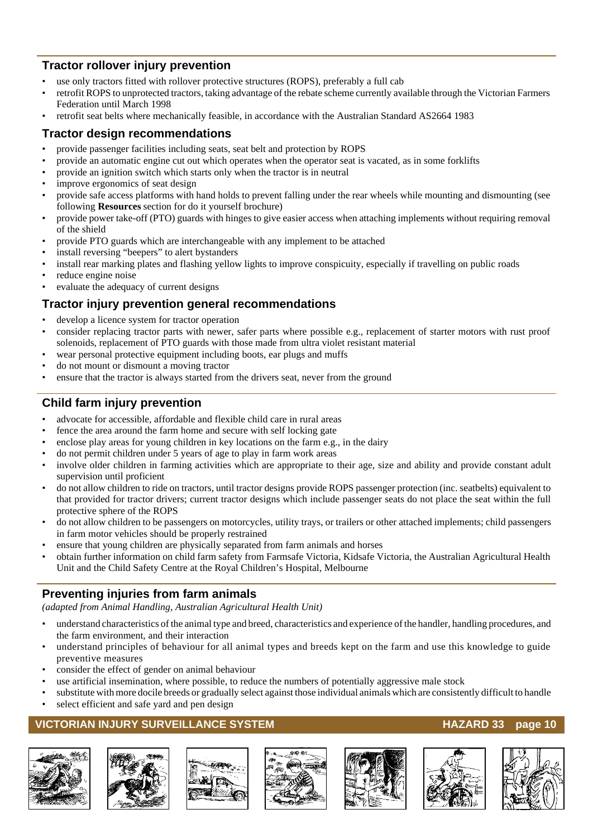#### **Tractor rollover injury prevention**

- use only tractors fitted with rollover protective structures (ROPS), preferably a full cab
- retrofit ROPS to unprotected tractors, taking advantage of the rebate scheme currently available through the Victorian Farmers Federation until March 1998
- retrofit seat belts where mechanically feasible, in accordance with the Australian Standard AS2664 1983

#### **Tractor design recommendations**

- provide passenger facilities including seats, seat belt and protection by ROPS
- provide an automatic engine cut out which operates when the operator seat is vacated, as in some forklifts
- provide an ignition switch which starts only when the tractor is in neutral
- improve ergonomics of seat design
- provide safe access platforms with hand holds to prevent falling under the rear wheels while mounting and dismounting (see following **Resources** section for do it yourself brochure)
- provide power take-off (PTO) guards with hinges to give easier access when attaching implements without requiring removal of the shield
- provide PTO guards which are interchangeable with any implement to be attached
- install reversing "beepers" to alert bystanders
- install rear marking plates and flashing yellow lights to improve conspicuity, especially if travelling on public roads
- reduce engine noise
- evaluate the adequacy of current designs

#### **Tractor injury prevention general recommendations**

- develop a licence system for tractor operation
- consider replacing tractor parts with newer, safer parts where possible e.g., replacement of starter motors with rust proof solenoids, replacement of PTO guards with those made from ultra violet resistant material
- wear personal protective equipment including boots, ear plugs and muffs
- do not mount or dismount a moving tractor
- ensure that the tractor is always started from the drivers seat, never from the ground

#### **Child farm injury prevention**

- advocate for accessible, affordable and flexible child care in rural areas
- fence the area around the farm home and secure with self locking gate
- enclose play areas for young children in key locations on the farm e.g., in the dairy
- do not permit children under 5 years of age to play in farm work areas
- involve older children in farming activities which are appropriate to their age, size and ability and provide constant adult supervision until proficient
- do not allow children to ride on tractors, until tractor designs provide ROPS passenger protection (inc. seatbelts) equivalent to that provided for tractor drivers; current tractor designs which include passenger seats do not place the seat within the full protective sphere of the ROPS
- do not allow children to be passengers on motorcycles, utility trays, or trailers or other attached implements; child passengers in farm motor vehicles should be properly restrained
- ensure that young children are physically separated from farm animals and horses
- obtain further information on child farm safety from Farmsafe Victoria, Kidsafe Victoria, the Australian Agricultural Health Unit and the Child Safety Centre at the Royal Children's Hospital, Melbourne

### **Preventing injuries from farm animals**

*(adapted from Animal Handling, Australian Agricultural Health Unit)*

- understand characteristics of the animal type and breed, characteristics and experience of the handler, handling procedures, and the farm environment, and their interaction
- understand principles of behaviour for all animal types and breeds kept on the farm and use this knowledge to guide preventive measures
- consider the effect of gender on animal behaviour
- use artificial insemination, where possible, to reduce the numbers of potentially aggressive male stock
- substitute with more docile breeds or gradually select against those individual animals which are consistently difficult to handle
- select efficient and safe yard and pen design

#### **VICTORIAN INJURY SURVEILLANCE SYSTEM** MACHOSTIC MANAGEMENT RAZARD 33 page 10













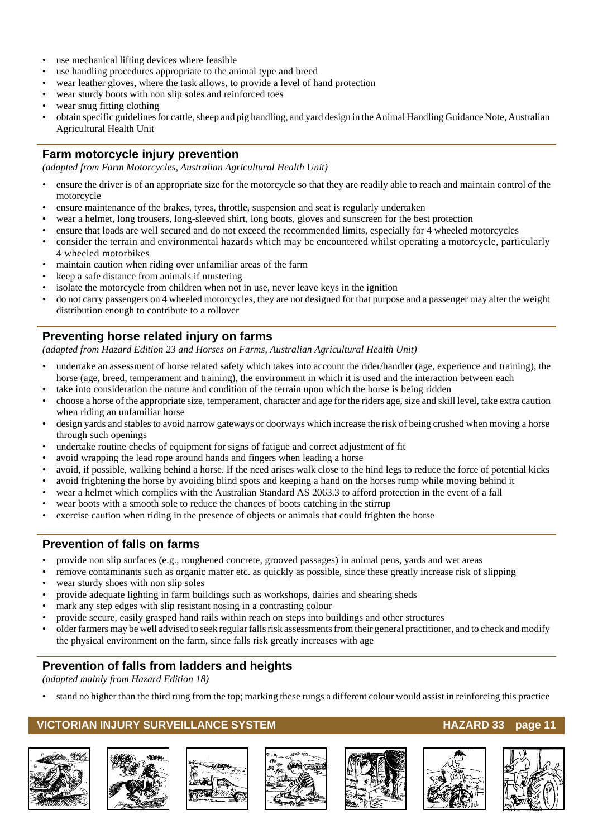- use mechanical lifting devices where feasible
- use handling procedures appropriate to the animal type and breed
- wear leather gloves, where the task allows, to provide a level of hand protection
- wear sturdy boots with non slip soles and reinforced toes
- wear snug fitting clothing
- obtain specific guidelines for cattle, sheep and pig handling, and yard design in the Animal Handling Guidance Note, Australian Agricultural Health Unit

#### **Farm motorcycle injury prevention**

*(adapted from Farm Motorcycles, Australian Agricultural Health Unit)*

- ensure the driver is of an appropriate size for the motorcycle so that they are readily able to reach and maintain control of the motorcycle
- ensure maintenance of the brakes, tyres, throttle, suspension and seat is regularly undertaken
- wear a helmet, long trousers, long-sleeved shirt, long boots, gloves and sunscreen for the best protection
- ensure that loads are well secured and do not exceed the recommended limits, especially for 4 wheeled motorcycles
- consider the terrain and environmental hazards which may be encountered whilst operating a motorcycle, particularly 4 wheeled motorbikes
- maintain caution when riding over unfamiliar areas of the farm
- keep a safe distance from animals if mustering
- isolate the motorcycle from children when not in use, never leave keys in the ignition
- do not carry passengers on 4 wheeled motorcycles, they are not designed for that purpose and a passenger may alter the weight distribution enough to contribute to a rollover

#### **Preventing horse related injury on farms**

*(adapted from Hazard Edition 23 and Horses on Farms, Australian Agricultural Health Unit)*

- undertake an assessment of horse related safety which takes into account the rider/handler (age, experience and training), the horse (age, breed, temperament and training), the environment in which it is used and the interaction between each
- take into consideration the nature and condition of the terrain upon which the horse is being ridden
- choose a horse of the appropriate size, temperament, character and age for the riders age, size and skill level, take extra caution when riding an unfamiliar horse
- design yards and stables to avoid narrow gateways or doorways which increase the risk of being crushed when moving a horse through such openings
- undertake routine checks of equipment for signs of fatigue and correct adjustment of fit
- avoid wrapping the lead rope around hands and fingers when leading a horse
- avoid, if possible, walking behind a horse. If the need arises walk close to the hind legs to reduce the force of potential kicks
- avoid frightening the horse by avoiding blind spots and keeping a hand on the horses rump while moving behind it
- wear a helmet which complies with the Australian Standard AS 2063.3 to afford protection in the event of a fall
- wear boots with a smooth sole to reduce the chances of boots catching in the stirrup
- exercise caution when riding in the presence of objects or animals that could frighten the horse

#### **Prevention of falls on farms**

- provide non slip surfaces (e.g., roughened concrete, grooved passages) in animal pens, yards and wet areas
- remove contaminants such as organic matter etc. as quickly as possible, since these greatly increase risk of slipping wear sturdy shoes with non slip soles
- provide adequate lighting in farm buildings such as workshops, dairies and shearing sheds
- mark any step edges with slip resistant nosing in a contrasting colour
- provide secure, easily grasped hand rails within reach on steps into buildings and other structures
- older farmers may be well advised to seek regular falls risk assessments from their general practitioner, and to check and modify the physical environment on the farm, since falls risk greatly increases with age

#### **Prevention of falls from ladders and heights**

*(adapted mainly from Hazard Edition 18)*

• stand no higher than the third rung from the top; marking these rungs a different colour would assist in reinforcing this practice

#### **VICTORIAN INJURY SURVEILLANCE SYSTEM AND REALLY CONTROLLY AND REALLY SERVED STATES AND REALLY SURVEILLANCE SYSTEM**













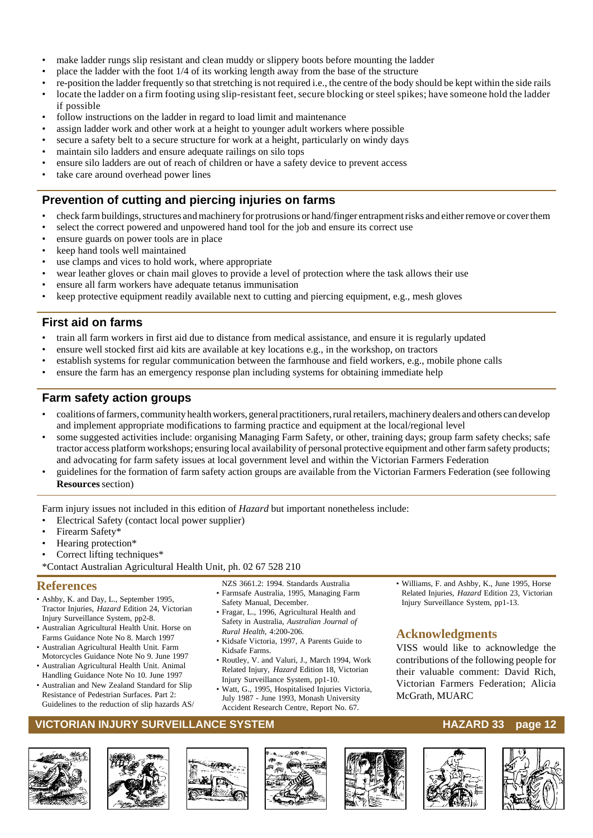- make ladder rungs slip resistant and clean muddy or slippery boots before mounting the ladder
- place the ladder with the foot 1/4 of its working length away from the base of the structure
- re-position the ladder frequently so that stretching is not required i.e., the centre of the body should be kept within the side rails • locate the ladder on a firm footing using slip-resistant feet, secure blocking or steel spikes; have someone hold the ladder if possible
- follow instructions on the ladder in regard to load limit and maintenance
- assign ladder work and other work at a height to younger adult workers where possible
- secure a safety belt to a secure structure for work at a height, particularly on windy days
- maintain silo ladders and ensure adequate railings on silo tops
- ensure silo ladders are out of reach of children or have a safety device to prevent access
- take care around overhead power lines

#### **Prevention of cutting and piercing injuries on farms**

- check farm buildings, structures and machinery for protrusions or hand/finger entrapment risks and either remove or cover them
- select the correct powered and unpowered hand tool for the job and ensure its correct use
- ensure guards on power tools are in place
- keep hand tools well maintained
- use clamps and vices to hold work, where appropriate
- wear leather gloves or chain mail gloves to provide a level of protection where the task allows their use
- ensure all farm workers have adequate tetanus immunisation
- keep protective equipment readily available next to cutting and piercing equipment, e.g., mesh gloves

#### **First aid on farms**

- train all farm workers in first aid due to distance from medical assistance, and ensure it is regularly updated
- ensure well stocked first aid kits are available at key locations e.g., in the workshop, on tractors
- establish systems for regular communication between the farmhouse and field workers, e.g., mobile phone calls
- ensure the farm has an emergency response plan including systems for obtaining immediate help

#### **Farm safety action groups**

- coalitions of farmers, community health workers, general practitioners, rural retailers, machinery dealers and others can develop and implement appropriate modifications to farming practice and equipment at the local/regional level
- some suggested activities include: organising Managing Farm Safety, or other, training days; group farm safety checks; safe tractor access platform workshops; ensuring local availability of personal protective equipment and other farm safety products; and advocating for farm safety issues at local government level and within the Victorian Farmers Federation
- guidelines for the formation of farm safety action groups are available from the Victorian Farmers Federation (see following **Resources** section)

Farm injury issues not included in this edition of *Hazard* but important nonetheless include:

- Electrical Safety (contact local power supplier)
- Firearm Safety\*
- Hearing protection\*
- Correct lifting techniques\*
- \*Contact Australian Agricultural Health Unit, ph. 02 67 528 210

#### **References**

- Ashby, K. and Day, L., September 1995, Tractor Injuries, *Hazard* Edition 24, Victorian Injury Surveillance System, pp2-8.
- Australian Agricultural Health Unit. Horse on Farms Guidance Note No 8. March 1997
- Australian Agricultural Health Unit. Farm Motorcycles Guidance Note No 9. June 1997
- Australian Agricultural Health Unit. Animal Handling Guidance Note No 10. June 1997
- Australian and New Zealand Standard for Slip Resistance of Pedestrian Surfaces. Part 2: Guidelines to the reduction of slip hazards AS/

NZS 3661.2: 1994. Standards Australia • Farmsafe Australia, 1995, Managing Farm

- Safety Manual, December. • Fragar, L., 1996, Agricultural Health and
- Safety in Australia, *Australian Journal of Rural Health*, 4:200-206.
- Kidsafe Victoria, 1997, A Parents Guide to Kidsafe Farms.
- Routley, V. and Valuri, J., March 1994, Work Related Injury, *Hazard* Edition 18, Victorian Injury Surveillance System, pp1-10.
- Watt, G., 1995, Hospitalised Injuries Victoria, July 1987 - June 1993, Monash University Accident Research Centre, Report No. 67.

• Williams, F. and Ashby, K., June 1995, Horse Related Injuries, *Hazard* Edition 23, Victorian Injury Surveillance System, pp1-13.

#### **Acknowledgments**

VISS would like to acknowledge the contributions of the following people for their valuable comment: David Rich, Victorian Farmers Federation; Alicia McGrath, MUARC

#### **VICTORIAN INJURY SURVEILLANCE SYSTEM AND READ READ TO HAZARD 33 page 12**













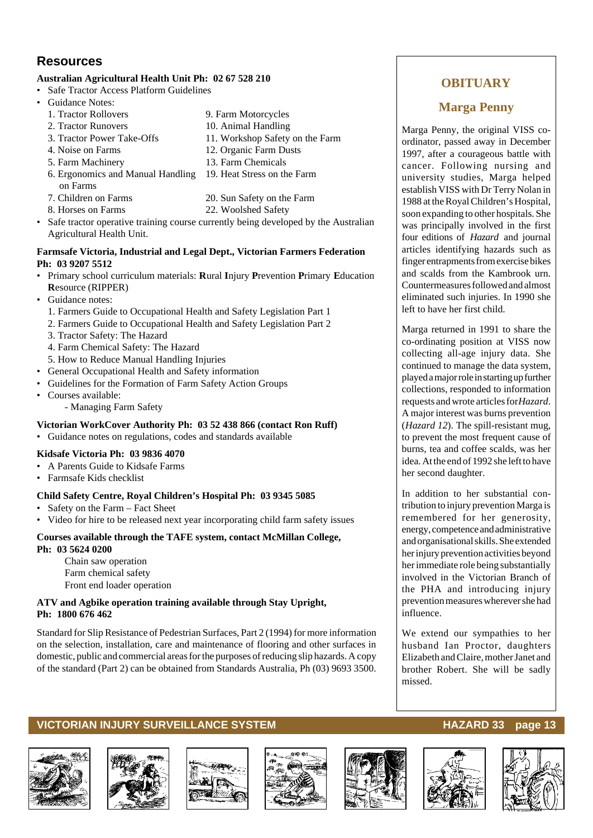#### **Resources**

#### **Australian Agricultural Health Unit Ph: 02 67 528 210**

- Safe Tractor Access Platform Guidelines
- Guidance Notes:
	- 1. Tractor Rollovers 9. Farm Motorcycles
	- 2. Tractor Runovers 10. Animal Handling<br>
	3. Tractor Power Take-Offs 11. Workshop Safety
	-
	- 4. Noise on Farms 12. Organic Farm Dusts
	- 5. Farm Machinery 13. Farm Chemicals
	- 6. Ergonomics and Manual Handling 19. Heat Stress on the Farm on Farms
	- 7. Children on Farms 20. Sun Safety on the Farm
- 8. Horses on Farms 22. Woolshed Safety
- Safe tractor operative training course currently being developed by the Australian Agricultural Health Unit.

11. Workshop Safety on the Farm

#### **Farmsafe Victoria, Industrial and Legal Dept., Victorian Farmers Federation Ph: 03 9207 5512**

- Primary school curriculum materials: **R**ural **I**njury **P**revention **P**rimary **E**ducation **R**esource (RIPPER)
- Guidance notes:
	- 1. Farmers Guide to Occupational Health and Safety Legislation Part 1
	- 2. Farmers Guide to Occupational Health and Safety Legislation Part 2
	- 3. Tractor Safety: The Hazard
	- 4. Farm Chemical Safety: The Hazard
	- 5. How to Reduce Manual Handling Injuries
- General Occupational Health and Safety information
- Guidelines for the Formation of Farm Safety Action Groups
- Courses available:
	- Managing Farm Safety

#### **Victorian WorkCover Authority Ph: 03 52 438 866 (contact Ron Ruff)**

• Guidance notes on regulations, codes and standards available

#### **Kidsafe Victoria Ph: 03 9836 4070**

- A Parents Guide to Kidsafe Farms
- Farmsafe Kids checklist

#### **Child Safety Centre, Royal Children's Hospital Ph: 03 9345 5085**

- Safety on the Farm Fact Sheet
- Video for hire to be released next year incorporating child farm safety issues

#### **Courses available through the TAFE system, contact McMillan College, Ph: 03 5624 0200**

Chain saw operation Farm chemical safety Front end loader operation

#### **ATV and Agbike operation training available through Stay Upright, Ph: 1800 676 462**

Standard for Slip Resistance of Pedestrian Surfaces, Part 2 (1994) for more information on the selection, installation, care and maintenance of flooring and other surfaces in domestic, public and commercial areas for the purposes of reducing slip hazards. A copy of the standard (Part 2) can be obtained from Standards Australia, Ph (03) 9693 3500.

#### **OBITUARY**

#### **Marga Penny**

Marga Penny, the original VISS coordinator, passed away in December 1997, after a courageous battle with cancer. Following nursing and university studies, Marga helped establish VISS with Dr Terry Nolan in 1988 at the Royal Children's Hospital, soon expanding to other hospitals. She was principally involved in the first four editions of *Hazard* and journal articles identifying hazards such as finger entrapments from exercise bikes and scalds from the Kambrook urn. Countermeasures followed and almost eliminated such injuries. In 1990 she left to have her first child.

Marga returned in 1991 to share the co-ordinating position at VISS now collecting all-age injury data. She continued to manage the data system, played a major role in starting up further collections, responded to information requests and wrote articles for *Hazard*. A major interest was burns prevention (*Hazard 12*). The spill-resistant mug, to prevent the most frequent cause of burns, tea and coffee scalds, was her idea. At the end of 1992 she left to have her second daughter.

In addition to her substantial contribution to injury prevention Marga is remembered for her generosity, energy, competence and administrative and organisational skills. She extended her injury prevention activities beyond her immediate role being substantially involved in the Victorian Branch of the PHA and introducing injury prevention measures wherever she had influence.

We extend our sympathies to her husband Ian Proctor, daughters Elizabeth and Claire, mother Janet and brother Robert. She will be sadly missed.

#### **VICTORIAN INJURY SURVEILLANCE SYSTEM MACHOLOGY AND RELATIONS HAZARD 33 page 13**













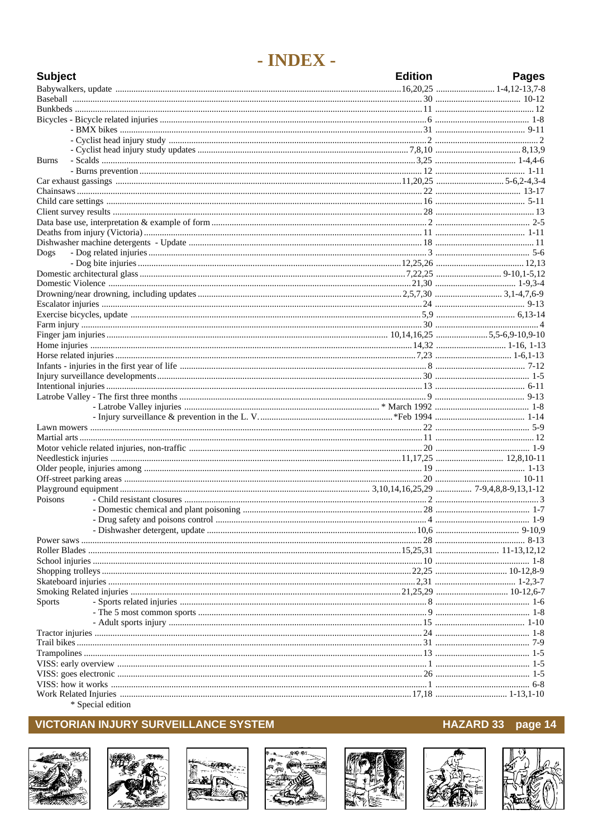## - INDEX -

| <b>Subject</b> | <b>Edition</b> | <b>Pages</b> |
|----------------|----------------|--------------|
|                |                |              |
|                |                |              |
|                |                |              |
|                |                |              |
|                |                |              |
|                |                |              |
|                |                |              |
| <b>Burns</b>   |                |              |
|                |                |              |
|                |                |              |
|                |                |              |
|                |                |              |
|                |                |              |
|                |                |              |
|                |                |              |
|                |                |              |
| Dogs           |                |              |
|                |                |              |
|                |                |              |
|                |                |              |
|                |                |              |
|                |                |              |
|                |                |              |
|                |                |              |
|                |                |              |
|                |                |              |
|                |                |              |
|                |                |              |
|                |                |              |
|                |                |              |
|                |                |              |
|                |                |              |
|                |                |              |
|                |                |              |
|                |                |              |
|                |                |              |
|                |                |              |
|                |                |              |
|                |                |              |
|                |                |              |
| Poisons        |                |              |
|                |                |              |
|                |                |              |
|                |                |              |
|                |                |              |
|                |                |              |
|                |                |              |
|                |                |              |
|                |                |              |
|                |                |              |
| Sports         |                |              |
|                |                |              |
|                |                |              |
|                |                |              |
|                |                |              |
|                |                |              |
|                |                |              |
|                |                |              |
|                |                |              |
|                |                |              |
|                |                |              |

\* Special edition

### **VICTORIAN INJURY SURVEILLANCE SYSTEM**















HAZARD 33 page 14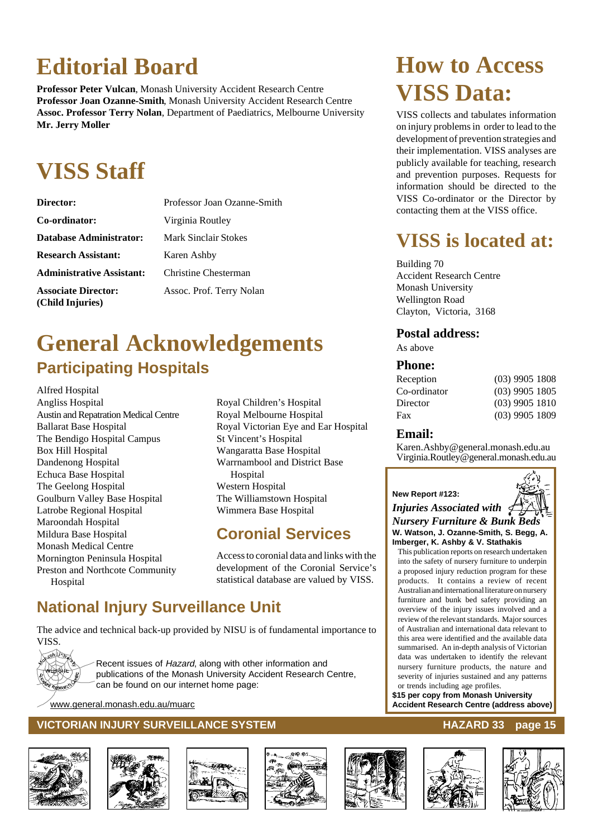## **Editorial Board**

**Professor Peter Vulcan**, Monash University Accident Research Centre **Professor Joan Ozanne-Smith**, Monash University Accident Research Centre **Assoc. Professor Terry Nolan**, Department of Paediatrics, Melbourne University **Mr. Jerry Moller**

## **VISS Staff**

| <b>Director:</b>                               | Professor Joan Ozanne-Smith |
|------------------------------------------------|-----------------------------|
| Co-ordinator:                                  | Virginia Routley            |
| <b>Database Administrator:</b>                 | Mark Sinclair Stokes        |
| <b>Research Assistant:</b>                     | Karen Ashby                 |
| <b>Administrative Assistant:</b>               | Christine Chesterman        |
| <b>Associate Director:</b><br>(Child Injuries) | Assoc. Prof. Terry Nolan    |

## **General Acknowledgements Participating Hospitals**

Alfred Hospital Angliss Hospital Austin and Repatration Medical Centre Ballarat Base Hospital The Bendigo Hospital Campus Box Hill Hospital Dandenong Hospital Echuca Base Hospital The Geelong Hospital Goulburn Valley Base Hospital Latrobe Regional Hospital Maroondah Hospital Mildura Base Hospital Monash Medical Centre Mornington Peninsula Hospital Preston and Northcote Community Hospital

Royal Children's Hospital Royal Melbourne Hospital Royal Victorian Eye and Ear Hospital St Vincent's Hospital Wangaratta Base Hospital Warrnambool and District Base Hospital Western Hospital The Williamstown Hospital Wimmera Base Hospital

### **Coronial Services**

Access to coronial data and links with the development of the Coronial Service's statistical database are valued by VISS.

## **National Injury Surveillance Unit**

The advice and technical back-up provided by NISU is of fundamental importance to VISS.



Recent issues of Hazard, along with other information and publications of the Monash University Accident Research Centre, can be found on our internet home page:

www.general.monash.edu.au/muarc

#### **VICTORIAN INJURY SURVEILLANCE SYSTEM AND REALLY CONTROLLY CONTROLLY AND REALLY CONTROLLY SURVEILLANCE SYSTEM**











## **How to Access VISS Data:**

VISS collects and tabulates information on injury problems in order to lead to the development of prevention strategies and their implementation. VISS analyses are publicly available for teaching, research and prevention purposes. Requests for information should be directed to the VISS Co-ordinator or the Director by contacting them at the VISS office.

## **VISS is located at:**

Building 70 Accident Research Centre Monash University Wellington Road Clayton, Victoria, 3168

### **Postal address:**

As above

#### **Phone:**

| $(03)$ 9905 1805 |                                                          |
|------------------|----------------------------------------------------------|
|                  |                                                          |
|                  |                                                          |
|                  | $(03)$ 9905 1808<br>$(03)$ 9905 1810<br>$(03)$ 9905 1809 |

#### **Email:**

Karen.Ashby@general.monash.edu.au Virginia.Routley@general.monash.edu.au

#### **New Report #123:**

*Injuries Associated with Nursery Furniture & Bunk Beds* **W. Watson, J. Ozanne-Smith, S. Begg, A. Imberger, K. Ashby & V. Stathakis**

This publication reports on research undertaken into the safety of nursery furniture to underpin a proposed injury reduction program for these products. It contains a review of recent Australian and international literature on nursery furniture and bunk bed safety providing an overview of the injury issues involved and a review of the relevant standards. Major sources of Australian and international data relevant to this area were identified and the available data summarised. An in-depth analysis of Victorian data was undertaken to identify the relevant nursery furniture products, the nature and severity of injuries sustained and any patterns or trends including age profiles.

**\$15 per copy from Monash University Accident Research Centre (address above)**